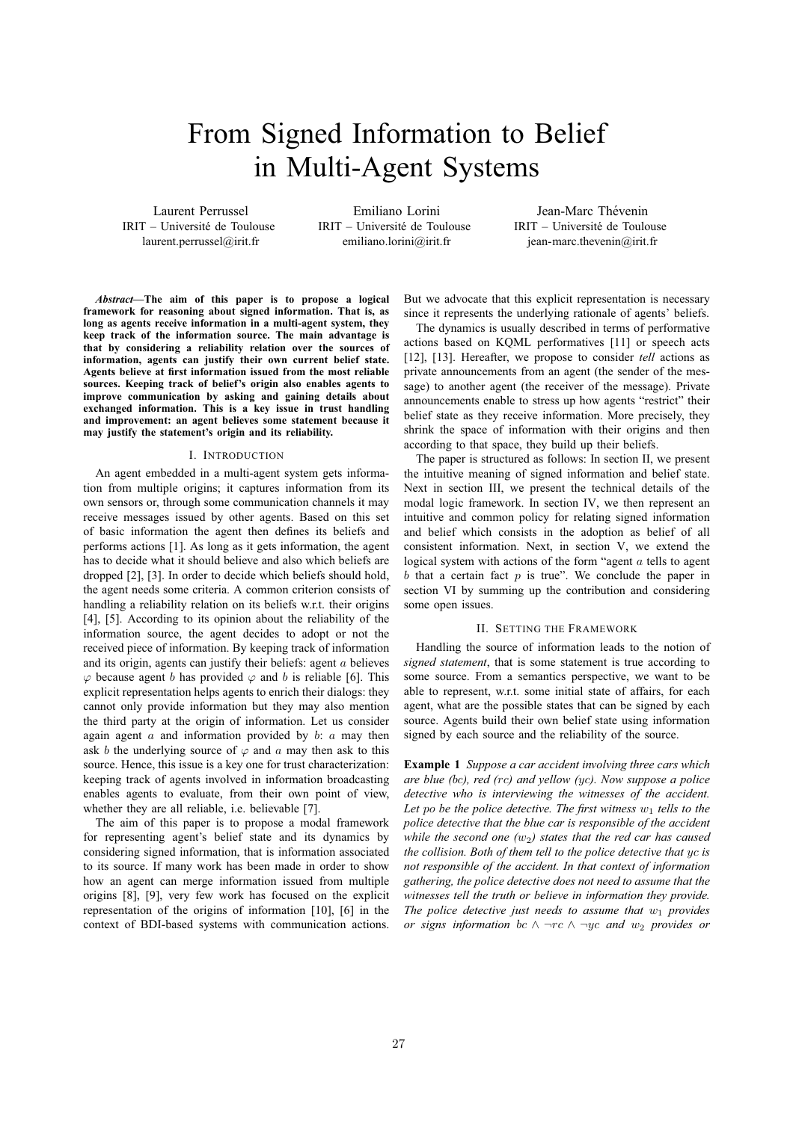# From Signed Information to Belief in Multi-Agent Systems

Laurent Perrussel IRIT – Universite de Toulouse ´ laurent.perrussel@irit.fr

Emiliano Lorini IRIT – Universite de Toulouse ´ emiliano.lorini@irit.fr

Jean-Marc Thévenin IRIT – Universite de Toulouse ´ jean-marc.thevenin@irit.fr

*Abstract***—The aim of this paper is to propose a logical framework for reasoning about signed information. That is, as long as agents receive information in a multi-agent system, they keep track of the information source. The main advantage is that by considering a reliability relation over the sources of information, agents can justify their own current belief state. Agents believe at first information issued from the most reliable sources. Keeping track of belief's origin also enables agents to improve communication by asking and gaining details about exchanged information. This is a key issue in trust handling and improvement: an agent believes some statement because it may justify the statement's origin and its reliability.**

#### I. INTRODUCTION

An agent embedded in a multi-agent system gets information from multiple origins; it captures information from its own sensors or, through some communication channels it may receive messages issued by other agents. Based on this set of basic information the agent then defines its beliefs and performs actions [1]. As long as it gets information, the agent has to decide what it should believe and also which beliefs are dropped [2], [3]. In order to decide which beliefs should hold, the agent needs some criteria. A common criterion consists of handling a reliability relation on its beliefs w.r.t. their origins [4], [5]. According to its opinion about the reliability of the information source, the agent decides to adopt or not the received piece of information. By keeping track of information and its origin, agents can justify their beliefs: agent a believes  $\varphi$  because agent *b* has provided  $\varphi$  and *b* is reliable [6]. This explicit representation helps agents to enrich their dialogs: they cannot only provide information but they may also mention the third party at the origin of information. Let us consider again agent  $a$  and information provided by  $b$ :  $a$  may then ask b the underlying source of  $\varphi$  and a may then ask to this source. Hence, this issue is a key one for trust characterization: keeping track of agents involved in information broadcasting enables agents to evaluate, from their own point of view, whether they are all reliable, i.e. believable [7].

The aim of this paper is to propose a modal framework for representing agent's belief state and its dynamics by considering signed information, that is information associated to its source. If many work has been made in order to show how an agent can merge information issued from multiple origins [8], [9], very few work has focused on the explicit representation of the origins of information [10], [6] in the context of BDI-based systems with communication actions. But we advocate that this explicit representation is necessary since it represents the underlying rationale of agents' beliefs.

The dynamics is usually described in terms of performative actions based on KQML performatives [11] or speech acts [12], [13]. Hereafter, we propose to consider *tell* actions as private announcements from an agent (the sender of the message) to another agent (the receiver of the message). Private announcements enable to stress up how agents "restrict" their belief state as they receive information. More precisely, they shrink the space of information with their origins and then according to that space, they build up their beliefs.

The paper is structured as follows: In section II, we present the intuitive meaning of signed information and belief state. Next in section III, we present the technical details of the modal logic framework. In section IV, we then represent an intuitive and common policy for relating signed information and belief which consists in the adoption as belief of all consistent information. Next, in section V, we extend the logical system with actions of the form "agent a tells to agent  $b$  that a certain fact  $p$  is true". We conclude the paper in section VI by summing up the contribution and considering some open issues.

#### II. SETTING THE FRAMEWORK

Handling the source of information leads to the notion of *signed statement*, that is some statement is true according to some source. From a semantics perspective, we want to be able to represent, w.r.t. some initial state of affairs, for each agent, what are the possible states that can be signed by each source. Agents build their own belief state using information signed by each source and the reliability of the source.

**Example 1** *Suppose a car accident involving three cars which are blue (*bc*), red (*rc*) and yellow (*yc*). Now suppose a police detective who is interviewing the witnesses of the accident.* Let po be the police detective. The first witness  $w_1$  tells to the *police detective that the blue car is responsible of the accident while the second one (w<sub>2</sub>) states that the red car has caused the collision. Both of them tell to the police detective that* yc *is not responsible of the accident. In that context of information gathering, the police detective does not need to assume that the witnesses tell the truth or believe in information they provide. The police detective just needs to assume that*  $w_1$  *provides or signs information* bc  $\land \neg rc \land \neg ye$  *and*  $w_2$  *provides or*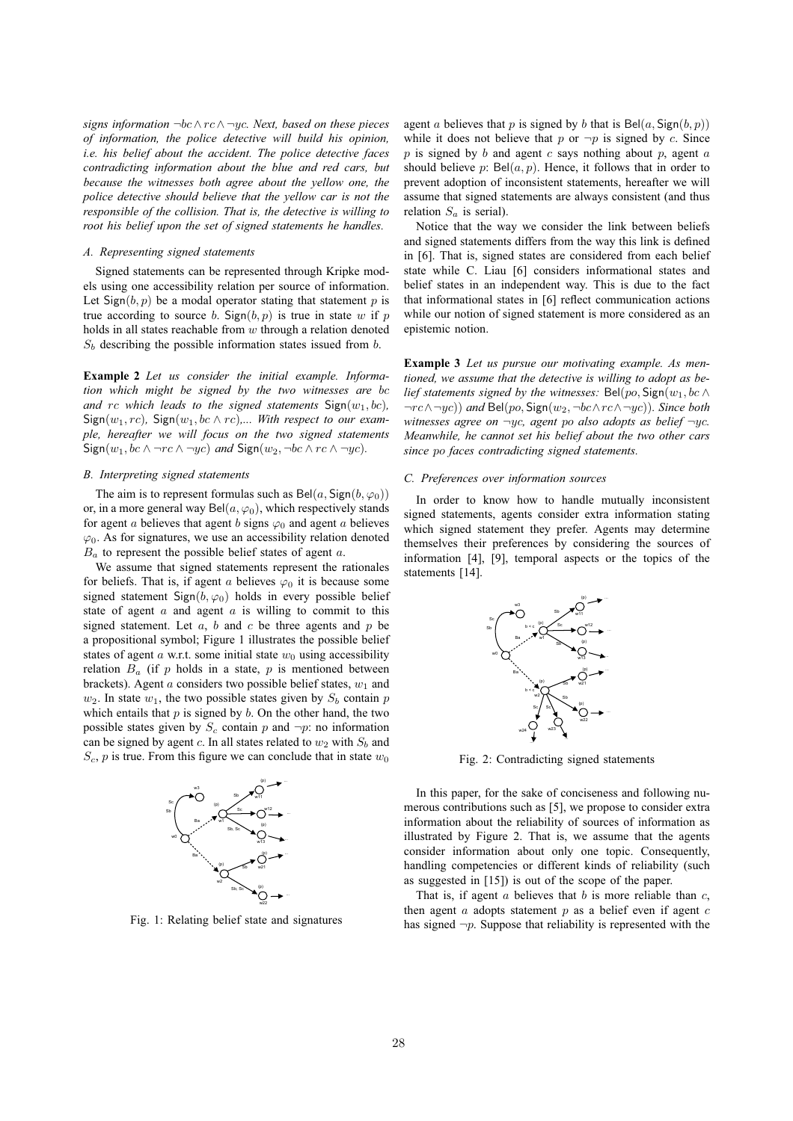*signs information* ¬bc∧rc∧ ¬yc*. Next, based on these pieces of information, the police detective will build his opinion, i.e. his belief about the accident. The police detective faces contradicting information about the blue and red cars, but because the witnesses both agree about the yellow one, the police detective should believe that the yellow car is not the responsible of the collision. That is, the detective is willing to root his belief upon the set of signed statements he handles.*

#### *A. Representing signed statements*

Signed statements can be represented through Kripke models using one accessibility relation per source of information. Let  $Sign(b, p)$  be a modal operator stating that statement p is true according to source b.  $Sign(b, p)$  is true in state w if p holds in all states reachable from  $w$  through a relation denoted  $S<sub>b</sub>$  describing the possible information states issued from b.

**Example 2** *Let us consider the initial example. Information which might be signed by the two witnesses are* bc and rc which leads to the signed statements  $Sign(w_1, bc)$ ,  $Sign(w_1, rc)$ ,  $Sign(w_1, bc \land rc)$ *,... With respect to our example, hereafter we will focus on the two signed statements*  $Sign(w_1, bc \land \neg rc \land \neg yc)$  *and*  $Sign(w_2, \neg bc \land rc \land \neg yc)$ *.* 

## *B. Interpreting signed statements*

The aim is to represent formulas such as  $Bel(a, Sign(b, \varphi_0))$ or, in a more general way Bel $(a, \varphi_0)$ , which respectively stands for agent a believes that agent b signs  $\varphi_0$  and agent a believes  $\varphi_0$ . As for signatures, we use an accessibility relation denoted  $B_a$  to represent the possible belief states of agent a.

We assume that signed statements represent the rationales for beliefs. That is, if agent a believes  $\varphi_0$  it is because some signed statement Sign( $b, \varphi_0$ ) holds in every possible belief state of agent  $a$  and agent  $a$  is willing to commit to this signed statement. Let  $a, b$  and  $c$  be three agents and  $p$  be a propositional symbol; Figure 1 illustrates the possible belief states of agent  $a$  w.r.t. some initial state  $w_0$  using accessibility relation  $B_a$  (if p holds in a state, p is mentioned between brackets). Agent a considers two possible belief states,  $w_1$  and  $w_2$ . In state  $w_1$ , the two possible states given by  $S_b$  contain p which entails that  $p$  is signed by  $b$ . On the other hand, the two possible states given by  $S_c$  contain p and  $\neg p$ : no information can be signed by agent c. In all states related to  $w_2$  with  $S_b$  and  $S_c$ , p is true. From this figure we can conclude that in state  $w_0$ 



Fig. 1: Relating belief state and signatures

agent a believes that p is signed by b that is  $Bel(a, Sign(b, p))$ while it does not believe that p or  $\neg p$  is signed by c. Since  $p$  is signed by  $b$  and agent  $c$  says nothing about  $p$ , agent  $a$ should believe  $p$ : Bel $(a, p)$ . Hence, it follows that in order to prevent adoption of inconsistent statements, hereafter we will assume that signed statements are always consistent (and thus relation  $S_a$  is serial).

Notice that the way we consider the link between beliefs and signed statements differs from the way this link is defined in [6]. That is, signed states are considered from each belief state while C. Liau [6] considers informational states and belief states in an independent way. This is due to the fact that informational states in [6] reflect communication actions while our notion of signed statement is more considered as an epistemic notion.

**Example 3** *Let us pursue our motivating example. As mentioned, we assume that the detective is willing to adopt as belief statements signed by the witnesses:* Bel(po, Sign( $w_1$ , bc  $\wedge$ ¬rc∧¬yc)) *and* Bel(po, Sign(w2,¬bc∧rc∧¬yc))*. Since both witnesses agree on* ¬yc*, agent* po *also adopts as belief* ¬yc*. Meanwhile, he cannot set his belief about the two other cars since* po *faces contradicting signed statements.*

## *C. Preferences over information sources*

In order to know how to handle mutually inconsistent signed statements, agents consider extra information stating which signed statement they prefer. Agents may determine themselves their preferences by considering the sources of information [4], [9], temporal aspects or the topics of the statements [14].



Fig. 2: Contradicting signed statements

In this paper, for the sake of conciseness and following numerous contributions such as [5], we propose to consider extra information about the reliability of sources of information as illustrated by Figure 2. That is, we assume that the agents consider information about only one topic. Consequently, handling competencies or different kinds of reliability (such as suggested in [15]) is out of the scope of the paper.

That is, if agent  $a$  believes that  $b$  is more reliable than  $c$ , then agent  $a$  adopts statement  $p$  as a belief even if agent  $c$ has signed  $\neg p$ . Suppose that reliability is represented with the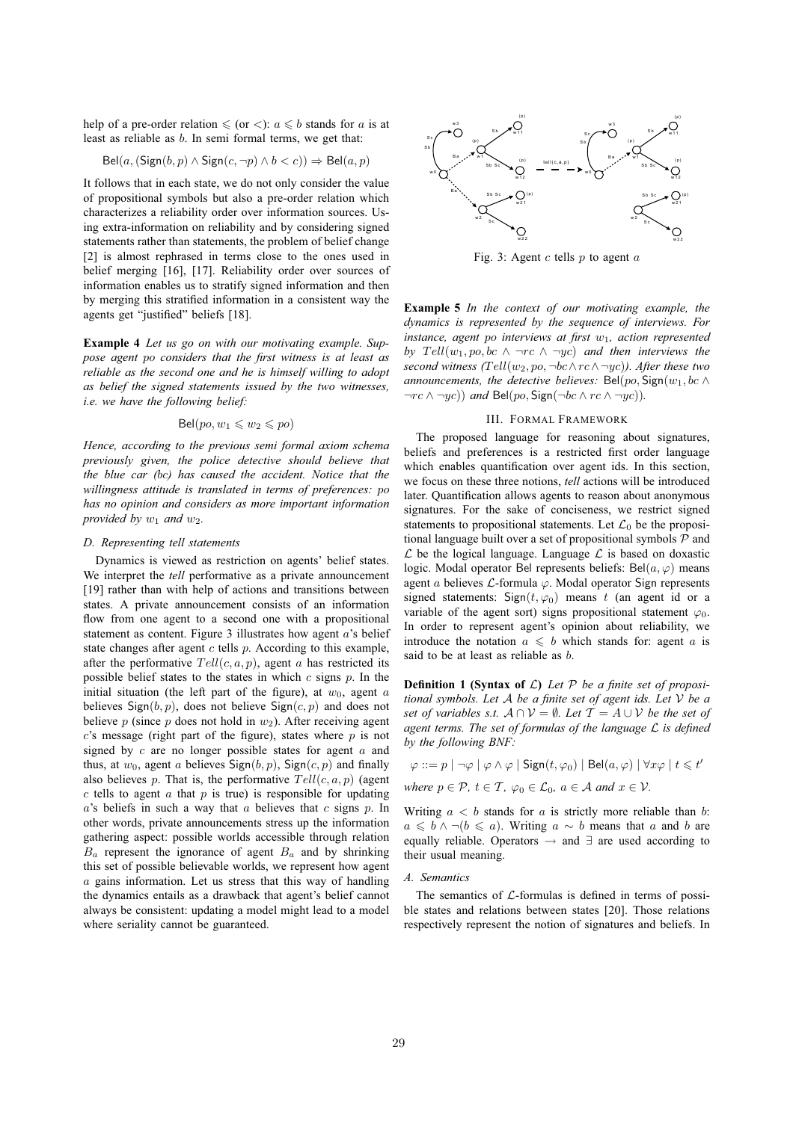help of a pre-order relation  $\leq$  (or  $\lt$ ):  $a \leq b$  stands for a is at least as reliable as b. In semi formal terms, we get that:

$$
Bel(a, (Sign(b, p) \land Sign(c, \neg p) \land b < c)) \Rightarrow Bel(a, p)
$$

It follows that in each state, we do not only consider the value of propositional symbols but also a pre-order relation which characterizes a reliability order over information sources. Using extra-information on reliability and by considering signed statements rather than statements, the problem of belief change [2] is almost rephrased in terms close to the ones used in belief merging [16], [17]. Reliability order over sources of information enables us to stratify signed information and then by merging this stratified information in a consistent way the agents get "justified" beliefs [18].

**Example 4** *Let us go on with our motivating example. Suppose agent* po *considers that the first witness is at least as reliable as the second one and he is himself willing to adopt as belief the signed statements issued by the two witnesses, i.e. we have the following belief:*

$$
\text{Bel}(po, w_1 \leq w_2 \leq po)
$$

*Hence, according to the previous semi formal axiom schema previously given, the police detective should believe that the blue car (*bc*) has caused the accident. Notice that the willingness attitude is translated in terms of preferences:* po *has no opinion and considers as more important information provided by*  $w_1$  *and*  $w_2$ *.* 

### *D. Representing tell statements*

Dynamics is viewed as restriction on agents' belief states. We interpret the *tell* performative as a private announcement [19] rather than with help of actions and transitions between states. A private announcement consists of an information flow from one agent to a second one with a propositional statement as content. Figure 3 illustrates how agent  $a$ 's belief state changes after agent  $c$  tells  $p$ . According to this example, after the performative  $Tell(c, a, p)$ , agent a has restricted its possible belief states to the states in which  $c$  signs  $p$ . In the initial situation (the left part of the figure), at  $w_0$ , agent a believes  $Sign(b, p)$ , does not believe  $Sign(c, p)$  and does not believe p (since p does not hold in  $w_2$ ). After receiving agent  $c$ 's message (right part of the figure), states where  $p$  is not signed by  $c$  are no longer possible states for agent  $a$  and thus, at  $w_0$ , agent a believes Sign(b, p), Sign(c, p) and finally also believes p. That is, the performative  $Tell(c, a, p)$  (agent  $c$  tells to agent  $a$  that  $p$  is true) is responsible for updating  $a$ 's beliefs in such a way that  $a$  believes that  $c$  signs  $p$ . In other words, private announcements stress up the information gathering aspect: possible worlds accessible through relation  $B_a$  represent the ignorance of agent  $B_a$  and by shrinking this set of possible believable worlds, we represent how agent  $a$  gains information. Let us stress that this way of handling the dynamics entails as a drawback that agent's belief cannot always be consistent: updating a model might lead to a model where seriality cannot be guaranteed.



Fig. 3: Agent  $c$  tells  $p$  to agent  $a$ 

**Example 5** *In the context of our motivating example, the dynamics is represented by the sequence of interviews. For instance, agent po interviews at first w<sub>1</sub>, action represented by*  $Tell(w_1, po, bc \wedge \neg rc \wedge \neg yc)$  *and then interviews the second witness (*Tell(w2,po, ¬bc∧rc∧¬yc)*). After these two announcements, the detective believes:* Bel(po, Sign( $w_1$ , bc  $\wedge$  $\neg rc \land \neg yc)$ ) *and* Bel(po, Sign( $\neg bc \land rc \land \neg yc$ )).

## III. FORMAL FRAMEWORK

The proposed language for reasoning about signatures, beliefs and preferences is a restricted first order language which enables quantification over agent ids. In this section, we focus on these three notions, *tell* actions will be introduced later. Quantification allows agents to reason about anonymous signatures. For the sake of conciseness, we restrict signed statements to propositional statements. Let  $\mathcal{L}_0$  be the propositional language built over a set of propositional symbols  $P$  and  $\mathcal L$  be the logical language. Language  $\mathcal L$  is based on doxastic logic. Modal operator Bel represents beliefs: Bel $(a, \varphi)$  means agent a believes  $\mathcal{L}$ -formula  $\varphi$ . Modal operator Sign represents signed statements: Sign $(t, \varphi_0)$  means t (an agent id or a variable of the agent sort) signs propositional statement  $\varphi_0$ . In order to represent agent's opinion about reliability, we introduce the notation  $a \leq b$  which stands for: agent a is said to be at least as reliable as  $b$ .

**Definition 1 (Syntax of**  $\mathcal{L}$ **)** Let  $\mathcal{P}$  be a finite set of proposi*tional symbols. Let* A *be a finite set of agent ids. Let* V *be a set of variables s.t.*  $A \cap V = \emptyset$ *. Let*  $\mathcal{T} = A \cup V$  *be the set of agent terms. The set of formulas of the language* L *is defined by the following BNF:*

 $\varphi ::= p \mid \neg \varphi \mid \varphi \land \varphi \mid {\sf Sign}(t,\varphi_0) \mid {\sf Bel}(a,\varphi) \mid \forall x \varphi \mid t \leqslant t'$ 

*where*  $p \in \mathcal{P}$ ,  $t \in \mathcal{T}$ ,  $\varphi_0 \in \mathcal{L}_0$ ,  $a \in \mathcal{A}$  and  $x \in \mathcal{V}$ .

Writing  $a < b$  stands for a is strictly more reliable than b:  $a \leq b \wedge \neg (b \leq a)$ . Writing  $a \sim b$  means that a and b are equally reliable. Operators → and ∃ are used according to their usual meaning.

#### *A. Semantics*

The semantics of  $\mathcal{L}$ -formulas is defined in terms of possible states and relations between states [20]. Those relations respectively represent the notion of signatures and beliefs. In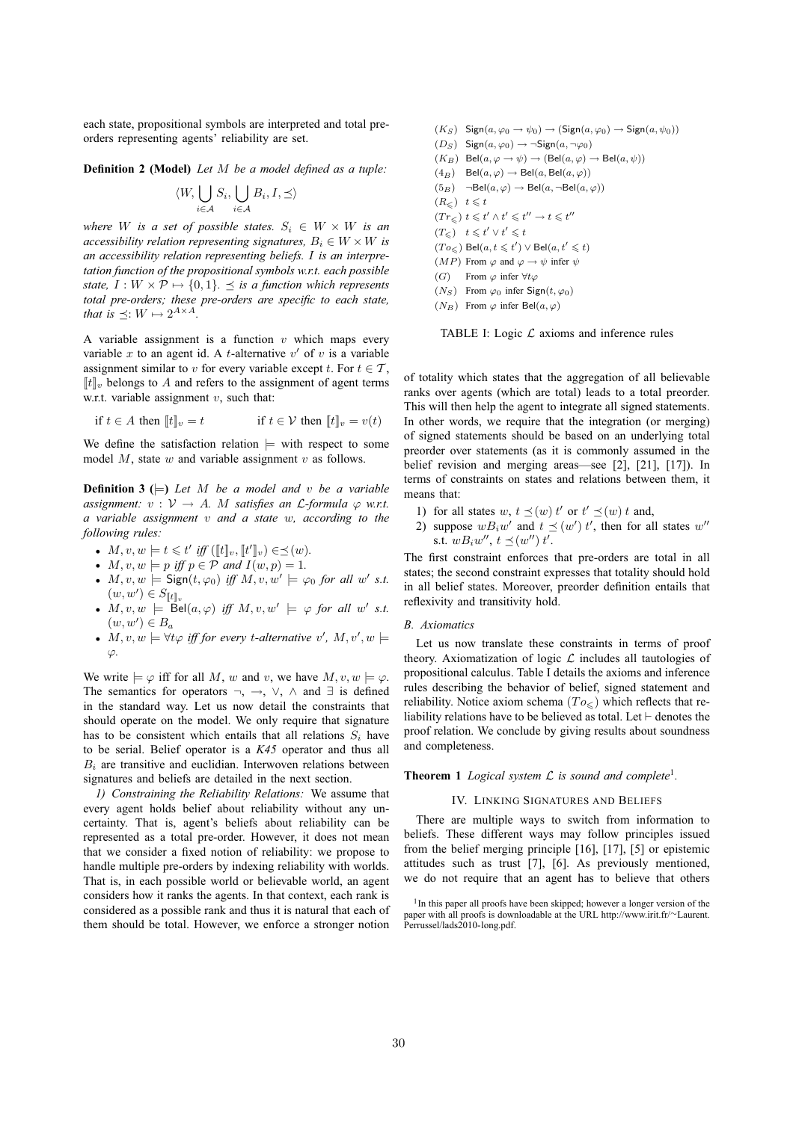each state, propositional symbols are interpreted and total preorders representing agents' reliability are set.

**Definition 2 (Model)** *Let* M *be a model defined as a tuple:*

$$
\langle W, \bigcup_{i \in \mathcal{A}} S_i, \bigcup_{i \in \mathcal{A}} B_i, I, \preceq \rangle
$$

*where W is a set of possible states.*  $S_i \in W \times W$  *is an accessibility relation representing signatures,*  $B_i \in W \times W$  *is an accessibility relation representing beliefs.* I *is an interpretation function of the propositional symbols w.r.t. each possible state,*  $I: W \times \mathcal{P} \mapsto \{0, 1\}$ .  $\prec$  *is a function which represents total pre-orders; these pre-orders are specific to each state, that is*  $\preceq: W \mapsto 2^{A \times A}$ .

A variable assignment is a function  $v$  which maps every variable  $x$  to an agent id. A *t*-alternative  $v'$  of  $v$  is a variable assignment similar to v for every variable except t. For  $t \in \mathcal{T}$ ,  $[[t]]$ , belongs to A and refers to the assignment of agent terms w.r.t. variable assignment  $v$ , such that:

$$
\text{if } t \in A \text{ then } [t]_v = t \qquad \qquad \text{if } t \in \mathcal{V} \text{ then } [t]_v = v(t)
$$

We define the satisfaction relation  $\models$  with respect to some model  $M$ , state  $w$  and variable assignment  $v$  as follows.

**Definition 3** ( $\models$ ) *Let M be a model and v be a variable assignment:*  $v : V \rightarrow A$ *. M satisfies an L-formula*  $\varphi$  *w.r.t. a variable assignment* v *and a state* w*, according to the following rules:*

- $M, v, w \models t \leq t'$  iff  $( [t]_v, [t']_v) \in \preceq(w)$ *.*
- $M, v, w \models p$  *iff*  $p \in \mathcal{P}$  *and*  $I(w, p) = 1$ *.*
- $M, v, w \models$  Sign $(t, \varphi_0)$  *iff*  $M, v, w' \models \varphi_0$  *for all w' s.t.*  $(w, w') \in S_{\llbracket t \rrbracket_v}$
- $M, v, w \models \text{Bel}(a, \varphi) \text{ iff } M, v, w' \models \varphi \text{ for all } w' \text{ s.t.}$  $(w, w') \in B_a$
- $M, v, w \models \forall t \varphi \text{ iff for every } t\text{-}alternative \ v', M, v', w \models$ ϕ*.*

We write  $\models \varphi$  iff for all M, w and v, we have  $M, v, w \models \varphi$ . The semantics for operators  $\neg$ ,  $\rightarrow$ ,  $\vee$ ,  $\wedge$  and  $\exists$  is defined in the standard way. Let us now detail the constraints that should operate on the model. We only require that signature has to be consistent which entails that all relations  $S_i$  have to be serial. Belief operator is a *K45* operator and thus all  $B_i$  are transitive and euclidian. Interwoven relations between signatures and beliefs are detailed in the next section.

*1) Constraining the Reliability Relations:* We assume that every agent holds belief about reliability without any uncertainty. That is, agent's beliefs about reliability can be represented as a total pre-order. However, it does not mean that we consider a fixed notion of reliability: we propose to handle multiple pre-orders by indexing reliability with worlds. That is, in each possible world or believable world, an agent considers how it ranks the agents. In that context, each rank is considered as a possible rank and thus it is natural that each of them should be total. However, we enforce a stronger notion  $(K_S)$  Sign $(a, \varphi_0 \to \psi_0) \to (\text{Sign}(a, \varphi_0) \to \text{Sign}(a, \psi_0))$  $(D_S)$  Sign $(a, \varphi_0) \rightarrow \neg$ Sign $(a, \neg \varphi_0)$  $(K_B)$  Bel $(a, \varphi \to \psi) \to (\text{Bel}(a, \varphi) \to \text{Bel}(a, \psi))$  $(4_B)$  Bel $(a, \varphi) \rightarrow$  Bel $(a,$  Bel $(a, \varphi)$ )  $(5_B)$   $\neg$ Bel $(a, \varphi)$   $\neg$  Bel $(a, \neg$ Bel $(a, \varphi))$  $(R_{\leqslant})$   $t \leqslant t$  $(Tr_{\leqslant})$   $t \leqslant t' \wedge t' \leqslant t'' \rightarrow t \leqslant t''$  $(T_{\leqslant})$   $t \leqslant t' \vee t' \leqslant t$  $(To_{\leqslant})$  Bel $(a, t \leqslant t') \vee$  Bel $(a, t' \leqslant t)$  $(MP)$  From  $\varphi$  and  $\varphi \to \psi$  infer  $\psi$ (G) From  $\varphi$  infer  $\forall t \varphi$  $(N_S)$  From  $\varphi_0$  infer Sign $(t, \varphi_0)$  $(N_B)$  From  $\varphi$  infer Bel $(a, \varphi)$ 

TABLE I: Logic  $\mathcal L$  axioms and inference rules

of totality which states that the aggregation of all believable ranks over agents (which are total) leads to a total preorder. This will then help the agent to integrate all signed statements. In other words, we require that the integration (or merging) of signed statements should be based on an underlying total preorder over statements (as it is commonly assumed in the belief revision and merging areas—see [2], [21], [17]). In terms of constraints on states and relations between them, it means that:

- 1) for all states w,  $t \preceq (w)$  t' or  $t' \preceq (w)$  t and,
- 2) suppose  $wB_iw'$  and  $t \leq (w')$  t', then for all states  $w''$ s.t.  $wB_iw'', t \preceq (w'') t'.$

The first constraint enforces that pre-orders are total in all states; the second constraint expresses that totality should hold in all belief states. Moreover, preorder definition entails that reflexivity and transitivity hold.

#### *B. Axiomatics*

Let us now translate these constraints in terms of proof theory. Axiomatization of logic  $\mathcal L$  includes all tautologies of propositional calculus. Table I details the axioms and inference rules describing the behavior of belief, signed statement and reliability. Notice axiom schema  $(T<sub>O</sub><)$  which reflects that reliability relations have to be believed as total. Let ⊢ denotes the proof relation. We conclude by giving results about soundness and completeness.

**Theorem 1** *Logical system*  $\mathcal{L}$  *is sound and complete*<sup>1</sup>.

## IV. LINKING SIGNATURES AND BELIEFS

There are multiple ways to switch from information to beliefs. These different ways may follow principles issued from the belief merging principle [16], [17], [5] or epistemic attitudes such as trust [7], [6]. As previously mentioned, we do not require that an agent has to believe that others

<sup>&</sup>lt;sup>1</sup>In this paper all proofs have been skipped; however a longer version of the paper with all proofs is downloadable at the URL http://www.irit.fr/∼Laurent. Perrussel/lads2010-long.pdf.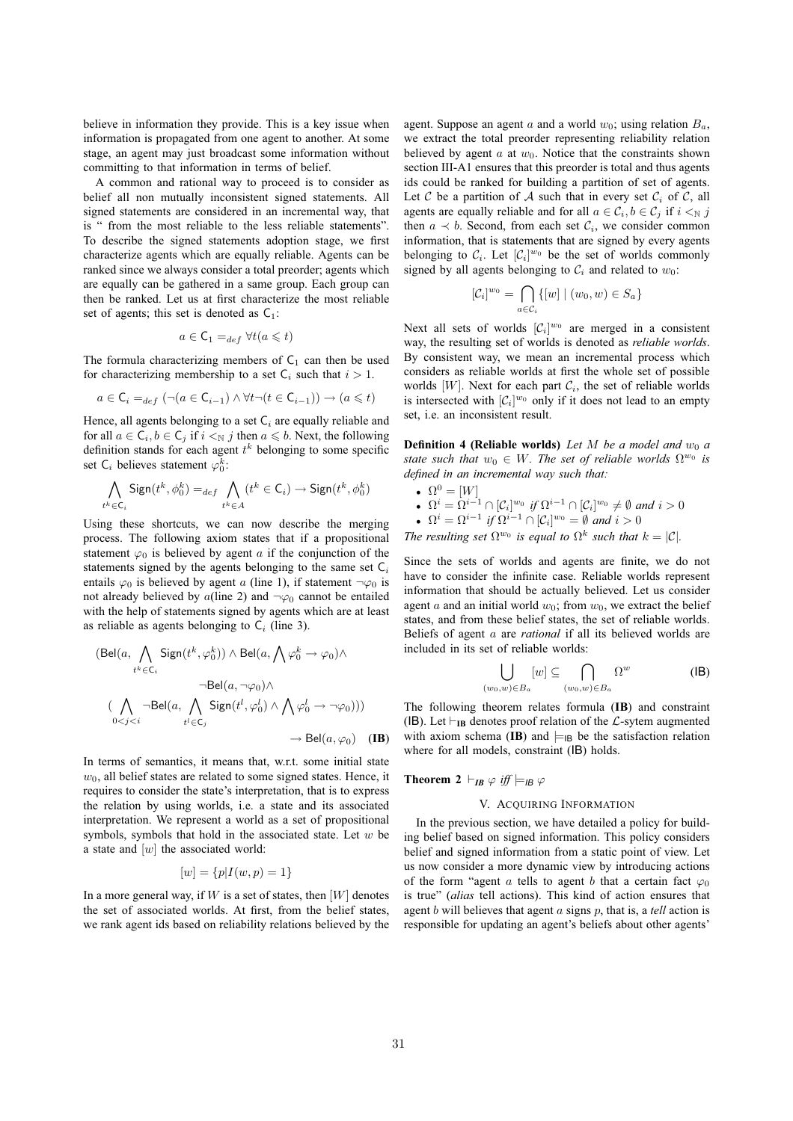believe in information they provide. This is a key issue when information is propagated from one agent to another. At some stage, an agent may just broadcast some information without committing to that information in terms of belief.

A common and rational way to proceed is to consider as belief all non mutually inconsistent signed statements. All signed statements are considered in an incremental way, that is " from the most reliable to the less reliable statements". To describe the signed statements adoption stage, we first characterize agents which are equally reliable. Agents can be ranked since we always consider a total preorder; agents which are equally can be gathered in a same group. Each group can then be ranked. Let us at first characterize the most reliable set of agents; this set is denoted as  $C_1$ :

$$
a\in\mathsf{C}_1=_{def}\forall t(a\leqslant t)
$$

The formula characterizing members of  $C_1$  can then be used for characterizing membership to a set  $C_i$  such that  $i > 1$ .

$$
a \in \mathsf{C}_i =_{def} (\neg (a \in \mathsf{C}_{i-1}) \land \forall t \neg (t \in \mathsf{C}_{i-1})) \rightarrow (a \leq t)
$$

Hence, all agents belonging to a set  $C_i$  are equally reliable and for all  $a \in \mathsf{C}_i$ ,  $b \in \mathsf{C}_j$  if  $i \leq \mathbb{N}$  *j* then  $a \leq b$ . Next, the following definition stands for each agent  $t^k$  belonging to some specific set C<sub>i</sub> believes statement  $\varphi_0^k$ :

$$
\bigwedge_{t^k \in \mathsf{C}_i} \mathsf{Sign}(t^k, \phi_0^k) =_{def} \bigwedge_{t^k \in A} (t^k \in \mathsf{C}_i) \to \mathsf{Sign}(t^k, \phi_0^k)
$$

Using these shortcuts, we can now describe the merging process. The following axiom states that if a propositional statement  $\varphi_0$  is believed by agent a if the conjunction of the statements signed by the agents belonging to the same set  $C_i$ entails  $\varphi_0$  is believed by agent a (line 1), if statement  $\neg \varphi_0$  is not already believed by  $a$ (line 2) and  $\neg \varphi_0$  cannot be entailed with the help of statements signed by agents which are at least as reliable as agents belonging to  $C_i$  (line 3).

$$
(\text{Bel}(a, \bigwedge_{t^k \in C_i} \text{Sign}(t^k, \varphi_0^k)) \land \text{Bel}(a, \bigwedge \varphi_0^k \to \varphi_0) \land
$$

$$
\bigwedge_{t^k \in C_i} \neg \text{Bel}(a, \bigwedge_{t^l \in C_j} \text{Sign}(t^l, \varphi_0^l) \land \bigwedge_{t^l \in C_j} \varphi_0^l \to \neg \varphi_0))\big) \land \text{Bel}(a, \varphi_0) \quad (\text{IB})
$$

 $k = k$ 

In terms of semantics, it means that, w.r.t. some initial state  $w<sub>0</sub>$ , all belief states are related to some signed states. Hence, it requires to consider the state's interpretation, that is to express the relation by using worlds, i.e. a state and its associated interpretation. We represent a world as a set of propositional symbols, symbols that hold in the associated state. Let  $w$  be a state and  $[w]$  the associated world:

$$
[w] = \{ p | I(w, p) = 1 \}
$$

In a more general way, if  $W$  is a set of states, then  $[W]$  denotes the set of associated worlds. At first, from the belief states, we rank agent ids based on reliability relations believed by the agent. Suppose an agent a and a world  $w_0$ ; using relation  $B_a$ , we extract the total preorder representing reliability relation believed by agent  $a$  at  $w_0$ . Notice that the constraints shown section III-A1 ensures that this preorder is total and thus agents ids could be ranked for building a partition of set of agents. Let C be a partition of A such that in every set  $C_i$  of C, all agents are equally reliable and for all  $a \in \mathcal{C}_i$ ,  $b \in \mathcal{C}_j$  if  $i \leq_N j$ then  $a \prec b$ . Second, from each set  $\mathcal{C}_i$ , we consider common information, that is statements that are signed by every agents belonging to  $C_i$ . Let  $[C_i]^{w_0}$  be the set of worlds commonly signed by all agents belonging to  $C_i$  and related to  $w_0$ :

$$
[\mathcal{C}_i]^{w_0} = \bigcap_{a \in \mathcal{C}_i} \{ [w] \mid (w_0, w) \in S_a \}
$$

Next all sets of worlds  $[\mathcal{C}_i]^{w_0}$  are merged in a consistent way, the resulting set of worlds is denoted as *reliable worlds*. By consistent way, we mean an incremental process which considers as reliable worlds at first the whole set of possible worlds [W]. Next for each part  $\mathcal{C}_i$ , the set of reliable worlds is intersected with  $[\mathcal{C}_i]^{w_0}$  only if it does not lead to an empty set, i.e. an inconsistent result.

**Definition 4 (Reliable worlds)** Let M be a model and  $w_0$  a *state such that*  $w_0 \in W$ . The set of reliable worlds  $\Omega^{w_0}$  is *defined in an incremental way such that:*

\n- \n
$$
\Omega^0 = [W]
$$
\n
\n- \n $\Omega^i = \Omega^{i-1} \cap [C_i]^{w_0}$  if  $\Omega^{i-1} \cap [C_i]^{w_0} \neq \emptyset$  and  $i > 0$ \n
\n- \n $\Omega^i = \Omega^{i-1}$  if  $\Omega^{i-1} \cap [C_i]^{w_0} = \emptyset$  and  $i > 0$ \n
\n

*The resulting set*  $\Omega^{w_0}$  *is equal to*  $\Omega^k$  *such that*  $k = |\mathcal{C}|$ *.* 

Since the sets of worlds and agents are finite, we do not have to consider the infinite case. Reliable worlds represent information that should be actually believed. Let us consider agent a and an initial world  $w_0$ ; from  $w_0$ , we extract the belief states, and from these belief states, the set of reliable worlds. Beliefs of agent a are *rational* if all its believed worlds are included in its set of reliable worlds:

$$
\bigcup_{(w_0,w)\in B_a} [w] \subseteq \bigcap_{(w_0,w)\in B_a} \Omega^w \tag{IB}
$$

The following theorem relates formula (**IB**) and constraint (IB). Let  $\vdash_{IB}$  denotes proof relation of the  $\mathcal{L}$ -sytem augmented with axiom schema (**IB**) and  $\models_{IB}$  be the satisfaction relation where for all models, constraint (IB) holds.

## **Theorem 2** ⊢<sub>*IB</sub>*  $\varphi$  *iff*  $\models$ <sub>*IB*</sub>  $\varphi$ </sub>

#### V. ACQUIRING INFORMATION

In the previous section, we have detailed a policy for building belief based on signed information. This policy considers belief and signed information from a static point of view. Let us now consider a more dynamic view by introducing actions of the form "agent a tells to agent b that a certain fact  $\varphi_0$ is true" (*alias* tell actions). This kind of action ensures that agent b will believes that agent a signs p, that is, a *tell* action is responsible for updating an agent's beliefs about other agents'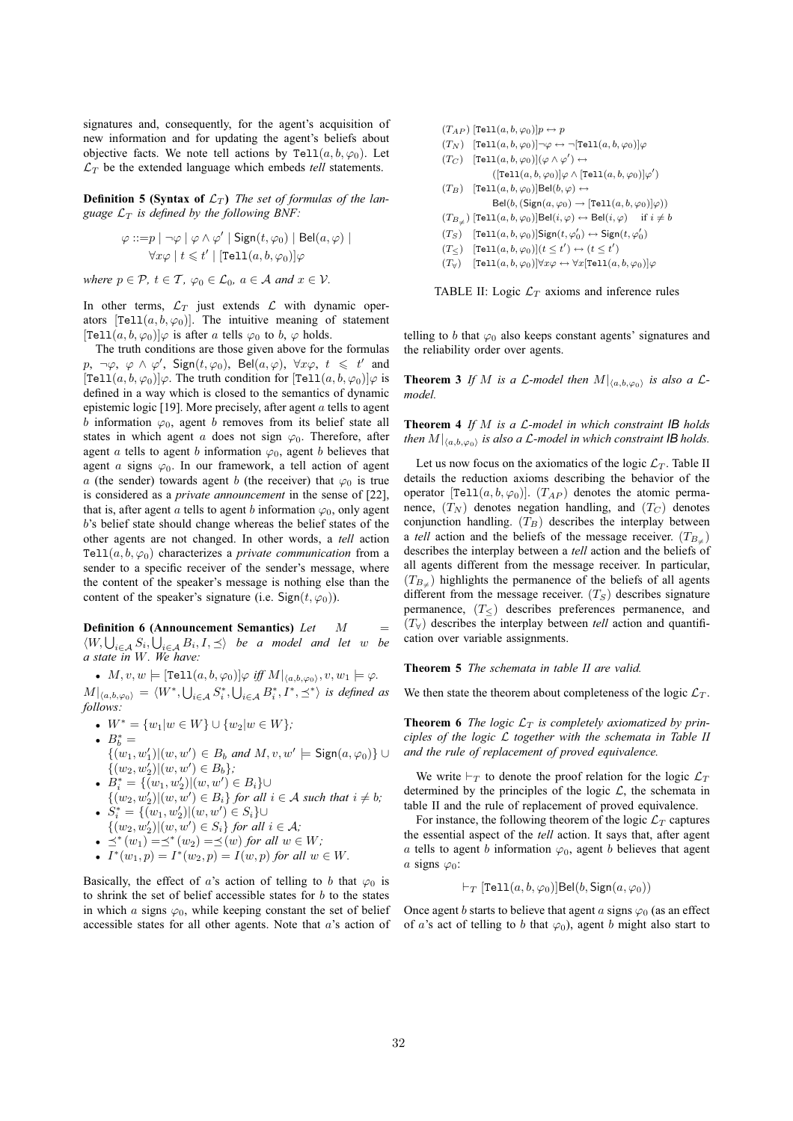signatures and, consequently, for the agent's acquisition of new information and for updating the agent's beliefs about objective facts. We note tell actions by Tell $(a, b, \varphi_0)$ . Let  $\mathcal{L}_T$  be the extended language which embeds *tell* statements.

**Definition 5 (Syntax of**  $\mathcal{L}_T$ ) The set of formulas of the lan*guage*  $\mathcal{L}_T$  *is defined by the following BNF:* 

$$
\varphi ::= p | \neg \varphi | \varphi \land \varphi' | \text{Sign}(t, \varphi_0) | \text{Bel}(a, \varphi) |
$$
  

$$
\forall x \varphi | t \leq t' | [\text{Tel1}(a, b, \varphi_0)] \varphi
$$

*where*  $p \in \mathcal{P}$ *,*  $t \in \mathcal{T}$ *,*  $\varphi_0 \in \mathcal{L}_0$ *,*  $a \in \mathcal{A}$  *and*  $x \in \mathcal{V}$ *.* 

In other terms,  $\mathcal{L}_T$  just extends  $\mathcal{L}$  with dynamic operators [Tell $(a, b, \varphi_0)$ ]. The intuitive meaning of statement  $[Tel1(a, b, \varphi_0)]\varphi$  is after a tells  $\varphi_0$  to b,  $\varphi$  holds.

The truth conditions are those given above for the formulas p,  $\neg \varphi$ ,  $\varphi \wedge \varphi'$ ,  $Sign(t, \varphi_0)$ ,  $Bel(a, \varphi)$ ,  $\forall x \varphi$ ,  $t \leq t'$  and  $[Tel1(a,b,\varphi_0)]\varphi$ . The truth condition for  $[Tel1(a,b,\varphi_0)]\varphi$  is defined in a way which is closed to the semantics of dynamic epistemic logic [19]. More precisely, after agent  $\alpha$  tells to agent b information  $\varphi_0$ , agent b removes from its belief state all states in which agent a does not sign  $\varphi_0$ . Therefore, after agent a tells to agent b information  $\varphi_0$ , agent b believes that agent a signs  $\varphi_0$ . In our framework, a tell action of agent a (the sender) towards agent b (the receiver) that  $\varphi_0$  is true is considered as a *private announcement* in the sense of [22], that is, after agent a tells to agent b information  $\varphi_0$ , only agent b's belief state should change whereas the belief states of the other agents are not changed. In other words, a *tell* action Tell $(a, b, \varphi_0)$  characterizes a *private communication* from a sender to a specific receiver of the sender's message, where the content of the speaker's message is nothing else than the content of the speaker's signature (i.e. Sign( $t, \varphi_0$ )).

**Definition 6 (Announcement Semantics)** *Let* M =  $\langle W, \bigcup_{i \in A} S_i, \bigcup_{i \in A} B_i, I, \preceq \rangle$  *be a model and let* w *be a state in* W*. We have:*

•  $M, v, w \models [\texttt{Tell}(a, b, \varphi_0)] \varphi \text{ iff } M|_{\langle a, b, \varphi_0 \rangle}, v, w_1 \models \varphi.$  $|M|_{\langle a,b,\varphi_0\rangle} = \langle W^*,\bigcup_{i\in\mathcal{A}} S^*_i,\bigcup_{i\in\mathcal{A}} B^*_i,I^*,\preceq^*\rangle$  is defined as *follows:*

- $W^* = \{w_1 | w \in W\} \cup \{w_2 | w \in W\}$
- $B_b^* =$

 ${(w_1, w'_1)| (w, w') \in B_b \text{ and } M, v, w' \models \textsf{Sign}(a, \varphi_0)}$  ∪  $\{(w_2, w'_2)| (w, w') \in B_b\}$ ;

- $B_i^* = \{(w_1, w_2') | (w, w') \in B_i\} \cup$
- $\{(w_2, w'_2)| (w, w') \in B_i\}$  *for all*  $i \in A$  *such that*  $i \neq b$ *;* •  $S_i^* = \{(w_1, w_2') | (w, w') \in S_i\} \cup$
- $\{(w_2, w'_2) | (w, w') \in S_i\}$  *for all*  $i \in A$ *;*
- $\preceq^*(w_1) = \preceq^*(w_2) = \preceq(w)$  *for all*  $w \in W$ *;*
- $I^*(w_1, p) = I^*(w_2, p) = I(w, p)$  *for all*  $w \in W$ *.*

Basically, the effect of a's action of telling to b that  $\varphi_0$  is to shrink the set of belief accessible states for  $b$  to the states in which a signs  $\varphi_0$ , while keeping constant the set of belief accessible states for all other agents. Note that  $a$ 's action of  $(T_{AP})$  [Tell $(a, b, \varphi_0)$ ] $p \leftrightarrow p$  $(T_N)$   $[Tel1(a, b, \varphi_0)]\neg\varphi \leftrightarrow \neg [Tel1(a, b, \varphi_0)]\varphi$  $(T_C)$  [Tell $(a, b, \varphi_0)$ ] $(\varphi \wedge \varphi') \leftrightarrow$  $([\texttt{Tell}(a, b, \varphi_0)] \varphi \wedge [\texttt{Tell}(a, b, \varphi_0)] \varphi')$  $(T_B)$  [Tell $(a, b, \varphi_0)$ ]Bel $(b, \varphi) \leftrightarrow$  $\text{Bel}(b, (\text{Sign}(a, \varphi_0) \rightarrow [\text{Tell}(a, b, \varphi_0)]\varphi))$  $(T_{B_{\neq}})$  [Tell $(a, b, \varphi_0)$ ]Bel $(i, \varphi) \leftrightarrow$ Bel $(i, \varphi)$  if  $i \neq b$  $(T_S)$  [Tell $(a, b, \varphi_0)$ ]Sign $(t, \varphi'_0) \leftrightarrow$ Sign $(t, \varphi'_0)$  $(T<)$  [Tell $(a, b, \varphi_0)$ ] $(t \le t') \leftrightarrow (t \le t')$  $(T_{\forall})$  [Tell $(a, b, \varphi_0)$ ] $\forall x \varphi \leftrightarrow \forall x$ [Tell $(a, b, \varphi_0)$ ] $\varphi$ 

TABLE II: Logic  $\mathcal{L}_T$  axioms and inference rules

telling to b that  $\varphi_0$  also keeps constant agents' signatures and the reliability order over agents.

**Theorem 3** If M is a L-model then  $M|_{\langle a,b,\varphi_0 \rangle}$  is also a L*model.*

**Theorem 4** *If* M *is a* L*-model in which constraint IB holds then*  $M|_{\langle a,b,\varphi_0\rangle}$  *is also a L-model in which constraint IB holds.* 

Let us now focus on the axiomatics of the logic  $\mathcal{L}_T$ . Table II details the reduction axioms describing the behavior of the operator  $[Te11(a, b, \varphi_0)]$ .  $(T_{AP})$  denotes the atomic permanence,  $(T_N)$  denotes negation handling, and  $(T_C)$  denotes conjunction handling.  $(T_B)$  describes the interplay between a *tell* action and the beliefs of the message receiver.  $(T_{B_{\neq}})$ describes the interplay between a *tell* action and the beliefs of all agents different from the message receiver. In particular,  $(T_{B_{\neq}})$  highlights the permanence of the beliefs of all agents different from the message receiver.  $(T<sub>S</sub>)$  describes signature permanence,  $(T<sub>≤</sub>)$  describes preferences permanence, and  $(T<sub>∀</sub>)$  describes the interplay between *tell* action and quantification over variable assignments.

**Theorem 5** *The schemata in table II are valid.*

We then state the theorem about completeness of the logic  $\mathcal{L}_T$ .

**Theorem 6** *The logic*  $\mathcal{L}_T$  *is completely axiomatized by principles of the logic* L *together with the schemata in Table II and the rule of replacement of proved equivalence.*

We write  $\vdash_T$  to denote the proof relation for the logic  $\mathcal{L}_T$ determined by the principles of the logic  $\mathcal{L}$ , the schemata in table II and the rule of replacement of proved equivalence.

For instance, the following theorem of the logic  $\mathcal{L}_T$  captures the essential aspect of the *tell* action. It says that, after agent a tells to agent b information  $\varphi_0$ , agent b believes that agent a signs  $\varphi_0$ :

$$
\vdash_T [\mathtt{Tell}(a, b, \varphi_0)] \mathtt{Bel}(b, \mathsf{Sign}(a, \varphi_0))
$$

Once agent b starts to believe that agent a signs  $\varphi_0$  (as an effect of a's act of telling to b that  $\varphi_0$ ), agent b might also start to